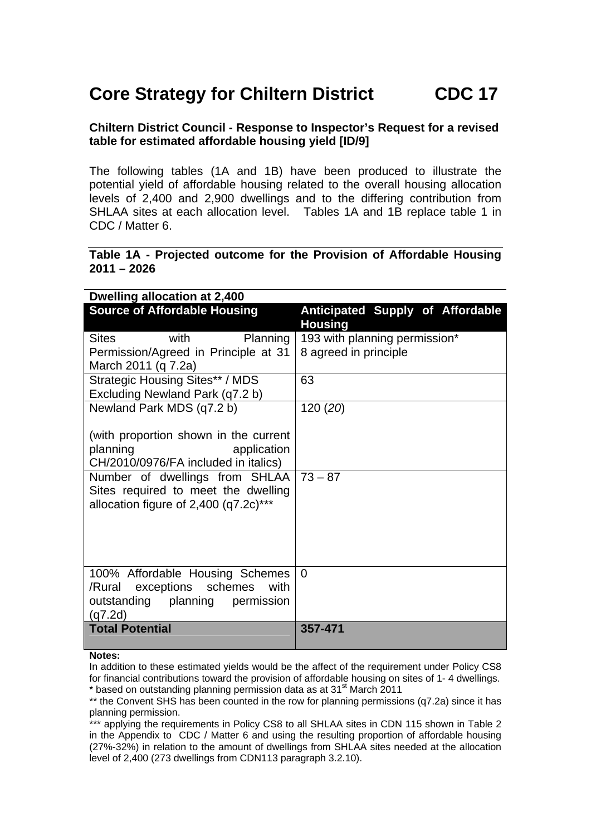## **Core Strategy for Chiltern District CDC 17**

## **Chiltern District Council - Response to Inspector's Request for a revised table for estimated affordable housing yield [ID/9]**

The following tables (1A and 1B) have been produced to illustrate the potential yield of affordable housing related to the overall housing allocation levels of 2,400 and 2,900 dwellings and to the differing contribution from SHLAA sites at each allocation level. Tables 1A and 1B replace table 1 in CDC / Matter 6.

## **Table 1A - Projected outcome for the Provision of Affordable Housing 2011 – 2026**

| Dwelling allocation at 2,400                                                                                                                                                                                                 |                                                    |
|------------------------------------------------------------------------------------------------------------------------------------------------------------------------------------------------------------------------------|----------------------------------------------------|
| <b>Source of Affordable Housing</b>                                                                                                                                                                                          | Anticipated Supply of Affordable<br><b>Housing</b> |
| with<br><b>Sites</b><br>Planning                                                                                                                                                                                             | 193 with planning permission*                      |
| Permission/Agreed in Principle at 31                                                                                                                                                                                         | 8 agreed in principle                              |
| March 2011 (q 7.2a)                                                                                                                                                                                                          |                                                    |
| <b>Strategic Housing Sites** / MDS</b>                                                                                                                                                                                       | 63                                                 |
| Excluding Newland Park (q7.2 b)                                                                                                                                                                                              |                                                    |
| Newland Park MDS (q7.2 b)                                                                                                                                                                                                    | 120(20)                                            |
| (with proportion shown in the current<br>planning<br>application<br>CH/2010/0976/FA included in italics)<br>Number of dwellings from SHLAA<br>Sites required to meet the dwelling<br>allocation figure of $2,400$ (q7.2c)*** | $73 - 87$                                          |
| 100% Affordable Housing Schemes<br>/Rural exceptions schemes<br>with<br>outstanding planning permission<br>(q7.2d)                                                                                                           | $\Omega$                                           |
| <b>Total Potential</b>                                                                                                                                                                                                       | 357-471                                            |

## **Notes:**

In addition to these estimated yields would be the affect of the requirement under Policy CS8 for financial contributions toward the provision of affordable housing on sites of 1- 4 dwellings.  $*$  based on outstanding planning permission data as at 31 $\mathrm{^{st}}$  March 2011

\*\* the Convent SHS has been counted in the row for planning permissions (q7.2a) since it has planning permission.

\*\* applying the requirements in Policy CS8 to all SHLAA sites in CDN 115 shown in Table 2 in the Appendix to CDC / Matter 6 and using the resulting proportion of affordable housing (27%-32%) in relation to the amount of dwellings from SHLAA sites needed at the allocation level of 2,400 (273 dwellings from CDN113 paragraph 3.2.10).